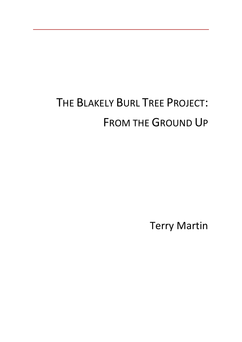# THE BLAKELY BURL TREE PROJECT: FROM THE GROUND UP

Terry Martin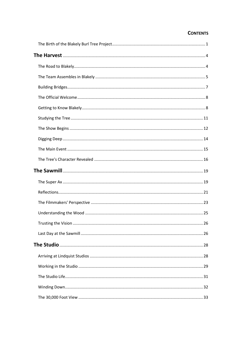### **CONTENTS**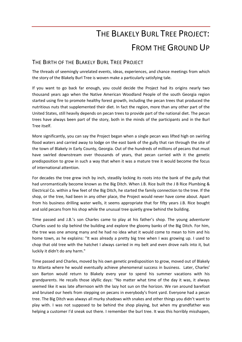## THE BLAKELY BURL TREE PROJECT: FROM THE GROUND UP

### <span id="page-2-0"></span>THE BIRTH OF THE BLAKELY BURL TREE PROJECT

The threads of seemingly unrelated events, ideas, experiences, and chance meetings from which the story of the Blakely Burl Tree is woven make a particularly satisfying tale.

If you want to go back far enough, you could decide the Project had its origins nearly two thousand years ago when the Native American Woodland People of the south Georgia region started using fire to promote healthy forest growth, including the pecan trees that produced the nutritious nuts that supplemented their diet. In fact the region, more than any other part of the United States, still heavily depends on pecan trees to provide part of the national diet. The pecan trees have always been part of the story, both in the minds of the participants and in the Burl Tree itself.

More significantly, you can say the Project began when a single pecan was lifted high on swirling flood waters and carried away to lodge on the east bank of the gully that ran through the site of the town of Blakely in Early County, Georgia. Out of the hundreds of millions of pecans that must have swirled downstream over thousands of years, that pecan carried with it the genetic predisposition to grow in such a way that when it was a mature tree it would become the focus of international attention.

For decades the tree grew inch by inch, steadily locking its roots into the bank of the gully that had unromantically become known as the Big Ditch. When J.B. Rice built the J B Rice Plumbing & Electrical Co. within a few feet of the Big Ditch, he started the family connection to the tree. If the shop, or the tree, had been in any other place, the Project would never have come about. Apart from his business drilling water wells, it seems appropriate that for fifty years J.B. Rice bought and sold pecans from his shop while the unusual tree quietly grew behind the building.

Time passed and J.B.'s son Charles came to play at his father's shop. The young adventurer Charles used to slip behind the building and explore the gloomy banks of the Big Ditch. For him, the tree was one among many and he had no idea what it would come to mean to him and his home town, as he explains: "It was already a pretty big tree when I was growing up. I used to chop that old tree with the hatchet I always carried in my belt and even drove nails into it, but luckily it didn't do any harm."

Time passed and Charles, moved by his own genetic predisposition to grow, moved out of Blakely to Atlanta where he would eventually achieve phenomenal success in business. Later, Charles' son Barton would return to Blakely every year to spend his summer vacations with his grandparents. He recalls those idyllic days: "No matter what time of the day it was, it always seemed like it was late afternoon with the lazy hot sun on the horizon. We ran around barefoot and bruised our heels from stepping on pecans in everybody's front yard. Everyone had a pecan tree. The Big Ditch was always all murky shadows with snakes and other things you didn't want to play with. I was not supposed to be behind the shop playing, but when my grandfather was helping a customer I'd sneak out there. I remember the burl tree. It was this horribly misshapen,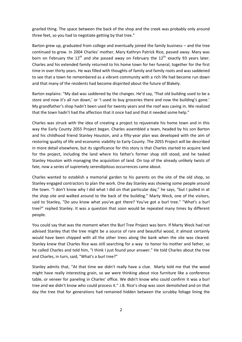gnarled thing. The space between the back of the shop and the creek was probably only around three feet, so you had to negotiate getting by that tree."

Barton grew up, graduated from college and eventually joined the family business – and the tree continued to grow. In 2004 Charles' mother, Mary Kathryn Patrick Rice, passed away. Mary was born on February the 12<sup>th</sup> and she passed away on February the 12<sup>th,</sup> exactly 93 years later. Charles and his extended family returned to his home town for her funeral, together for the first time in over thirty years. He was filled with thoughts of family and family roots and was saddened to see that a town he remembered as a vibrant community with a rich life had become run down and that many of the residents had become dispirited about the future of Blakely.

Barton explains: "My dad was saddened by the changes. He'd say, 'That old building used to be a store and now it's all run down,' or 'I used to buy groceries there and now the building's gone.' My grandfather's shop hadn't been used for twenty years and the roof was caving in. We realized that the town hadn't had the affection that it once had and that it needed some help."

Charles was struck with the idea of creating a project to rejuvenate his home town and in this way the Early County 2055 Project began. Charles assembled a team, headed by his son Barton and his childhood friend Stanley Houston, and a fifty-year plan was developed with the aim of restoring quality of life and economic viability to Early County. The 2055 Project will be described in more detail elsewhere, but its significance for this story is that Charles started to acquire land for the project, including the land where his father's former shop still stood, and he tasked Stanley Houston with managing the acquisition of land. On top of the already unlikely twists of fate, now a series of supremely serendipitous occurrences came about.

Charles wanted to establish a memorial garden to his parents on the site of the old shop, so Stanley engaged contractors to plan the work. One day Stanley was showing some people around the town. "I don't know why I did what I did on that particular day," he says, "but I pulled in at the shop site and walked around to the back of the building." Marty Weck, one of the visitors, said to Stanley, "Do you know what you've got there? You've got a burl tree." "What's a burl tree?" replied Stanley. It was a question that soon would be repeated many times by different people.

You could say that was the moment when the Burl Tree Project was born. If Marty Weck had not advised Stanley that the tree might be a source of rare and beautiful wood, it almost certainly would have been chipped with all the other trees along the bank when the site was cleared. Stanley knew that Charles Rice was still searching for a way to honor his mother and father, so he called Charles and told him, "I think I just found your answer." He told Charles about the tree and Charles, in turn, said, "What's a burl tree?"

Stanley admits that, "At that time we didn't really have a clue. Marty told me that the wood might have really interesting grain, so we were thinking about nice furniture like a conference table, or veneer for paneling in Charles' office. We didn't know who could confirm it was a burl tree and we didn't know who could process it." J.B. Rice's shop was soon demolished and on that day the tree that for generations had remained hidden between the scrubby foliage lining the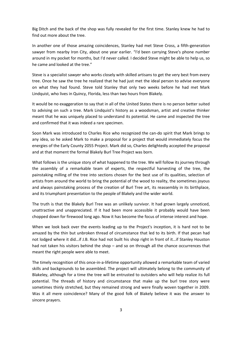Big Ditch and the back of the shop was fully revealed for the first time. Stanley knew he had to find out more about the tree.

In another one of those amazing coincidences, Stanley had met Steve Cross, a fifth-generation sawyer from nearby Iron City, about one year earlier. "I'd been carrying Steve's phone number around in my pocket for months, but I'd never called. I decided Steve might be able to help us, so he came and looked at the tree."

Steve is a specialist sawyer who works closely with skilled artisans to get the very best from every tree. Once he saw the tree he realized that he had just met the ideal person to advise everyone on what they had found. Steve told Stanley that only two weeks before he had met Mark Lindquist, who lives in Quincy, Florida, less than two hours from Blakely.

It would be no exaggeration to say that in all of the United States there is no person better suited to advising on such a tree. Mark Lindquist's history as a woodsman, artist and creative thinker meant that he was uniquely placed to understand its potential. He came and inspected the tree and confirmed that it was indeed a rare specimen.

Soon Mark was introduced to Charles Rice who recognized the can-do spirit that Mark brings to any idea, so he asked Mark to make a proposal for a project that would immediately focus the energies of the Early County 2055 Project. Mark did so, Charles delightedly accepted the proposal and at that moment the formal Blakely Burl Tree Project was born.

What follows is the unique story of what happened to the tree. We will follow its journey through the assembly of a remarkable team of experts, the respectful harvesting of the tree, the painstaking milling of the tree into sections chosen for the best use of its qualities, selection of artists from around the world to bring the potential of the wood to reality, the sometimes joyous and always painstaking process of the creation of Burl Tree art, its reassembly in its birthplace, and its triumphant presentation to the people of Blakely and the wider world.

The truth is that the Blakely Burl Tree was an unlikely survivor. It had grown largely unnoticed, unattractive and unappreciated. If it had been more accessible it probably would have been chopped down for firewood long ago. Now it has become the focus of intense interest and hope.

When we look back over the events leading up to the Project's inception, it is hard not to be amazed by the thin but unbroken thread of circumstance that led to its birth. If that pecan had not lodged where it did…if J.B. Rice had not built his shop right in front of it…if Stanley Houston had not taken his visitors behind the shop – and so on through all the chance occurrences that meant the right people were able to meet.

The timely recognition of this once-in-a-lifetime opportunity allowed a remarkable team of varied skills and backgrounds to be assembled. The project will ultimately belong to the community of Blakeley, although for a time the tree will be entrusted to outsiders who will help realize its full potential. The threads of history and circumstance that make up the burl tree story were sometimes thinly stretched, but they remained strong and were finally woven together in 2009. Was it all mere coincidence? Many of the good folk of Blakely believe it was the answer to sincere prayers.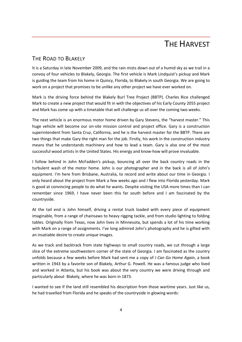### **THE HARVEST**

### <span id="page-5-1"></span><span id="page-5-0"></span>THE ROAD TO BLAKELY

It is a Saturday in late November 2009, and the rain mists down out of a humid sky as we trail in a convoy of four vehicles to Blakely, Georgia. The first vehicle is Mark Lindquist's pickup and Mark is guiding the team from his home in Quincy, Florida, to Blakely in south Georgia. We are going to work on a project that promises to be unlike any other project we have ever worked on.

Mark is the driving force behind the Blakely Burl Tree Project (BBTP). Charles Rice challenged Mark to create a new project that would fit in with the objectives of his Early County 2055 project and Mark has come up with a timetable that will challenge us all over the coming two weeks.

The next vehicle is an enormous motor home driven by Gary Stevens, the "harvest master." This huge vehicle will become our on-site mission control and project office. Gary is a construction superintendent from Santa Cruz, California, and he is the harvest master for the BBTP. There are two things that make Gary the right man for the job. Firstly, his work in the construction industry means that he understands machinery and how to lead a team. Gary is also one of the most successful wood artists in the United States. His energy and know-how will prove invaluable.

I follow behind in John McFadden's pickup, bouncing all over the back country roads in the turbulent wash of the motor home. John is our photographer and in the back is all of John's equipment. I'm here from Brisbane, Australia, to record and write about our time in Georgia. I only heard about the project from Mark a few weeks ago and I flew into Florida yesterday. Mark is good at convincing people to do what he wants. Despite visiting the USA more times than I can remember since 1969, I have never been this far south before and I am fascinated by the countryside.

At the tail end is John himself, driving a rental truck loaded with every piece of equipment imaginable, from a range of chainsaws to heavy rigging tackle, and from studio lighting to folding tables. Originally from Texas, now John lives in Minnesota, but spends a lot of his time working with Mark on a range of assignments. I've long admired John's photography and he is gifted with an insatiable desire to create unique images.

As we track and backtrack from state highways to small country roads, we cut through a large slice of the extreme southwestern corner of the state of Georgia. I am fascinated as the country unfolds because a few weeks before Mark had sent me a copy of *I Can Go Home Again*, a book written in 1943 by a favorite son of Blakely, Arthur G. Powell. He was a famous judge who lived and worked in Atlanta, but his book was about the very country we were driving through and particularly about Blakely, where he was born in 1873.

I wanted to see if the land still resembled his description from those wartime years. Just like us, he had travelled from Florida and he speaks of the countryside in glowing words: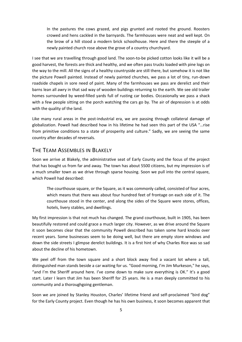In the pastures the cows grazed, and pigs grunted and rooted the ground. Roosters crowed and hens cackled in the barnyards. The farmhouses were neat and well kept. On the brow of a hill stood a modern brick schoolhouse. Here and there the steeple of a newly painted church rose above the grove of a country churchyard.

I see that we are travelling through good land. The soon-to-be picked cotton looks like it will be a good harvest, the forests are thick and healthy, and we often pass trucks loaded with pine logs on the way to the mill. All the signs of a healthy countryside are still there, but somehow it is not like the picture Powell painted. Instead of newly painted churches, we pass a lot of tiny, run-down roadside chapels in sore need of paint. Many of the farmhouses we pass are derelict and their barns lean all awry in that sad way of wooden buildings returning to the earth. We see old trailer homes surrounded by weed-filled yards full of rusting car bodies. Occasionally we pass a shack with a few people sitting on the porch watching the cars go by. The air of depression is at odds with the quality of the land.

Like many rural areas in the post-industrial era, we are passing through collateral damage of globalization. Powell had described how in his lifetime he had seen this part of the USA "…rise from primitive conditions to a state of prosperity and culture." Sadly, we are seeing the same country after decades of reversals.

### <span id="page-6-0"></span>THE TEAM ASSEMBLES IN BLAKELY

Soon we arrive at Blakely, the administrative seat of Early County and the focus of the project that has bought us from far and away. The town has about 5500 citizens, but my impression is of a much smaller town as we drive through sparse housing. Soon we pull into the central square, which Powell had described:

The courthouse square, or the Square, as it was commonly called, consisted of four acres, which means that there was about four hundred feet of frontage on each side of it. The courthouse stood in the center, and along the sides of the Square were stores, offices, hotels, livery stables, and dwellings.

My first impression is that not much has changed. The grand courthouse, built in 1905, has been beautifully restored and could grace a much larger city. However, as we drive around the Square it soon becomes clear that the community Powell described has taken some hard knocks over recent years. Some businesses seem to be doing well, but there are empty store windows and down the side streets I glimpse derelict buildings. It is a first hint of why Charles Rice was so sad about the decline of his hometown.

We peel off from the town square and a short block away find a vacant lot where a tall, distinguished man stands beside a car waiting for us. "Good morning, I'm Jim Murkeson," he says, "and I'm the Sheriff around here. I've come down to make sure everything is OK." It's a good start. Later I learn that Jim has been Sheriff for 25 years. He is a man deeply committed to his community and a thoroughgoing gentleman.

Soon we are joined by Stanley Houston, Charles' lifetime friend and self-proclaimed "bird dog" for the Early County project. Even though he has his own business, it soon becomes apparent that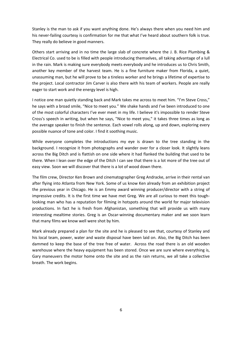Stanley is the man to ask if you want anything done. He's always there when you need him and his never-failing courtesy is confirmation for me that what I've heard about southern folk is true. They really do believe in good manners.

Others start arriving and in no time the large slab of concrete where the J. B. Rice Plumbing & Electrical Co. used to be is filled with people introducing themselves, all taking advantage of a lull in the rain. Mark is making sure everybody meets everybody and he introduces us to Chris Smith, another key member of the harvest team. He is a fine furniture maker from Florida, a quiet, unassuming man, but he will prove to be a tireless worker and he brings a lifetime of expertise to the project. Local contractor Jim Carver is also there with his team of workers. People are really eager to start work and the energy level is high.

I notice one man quietly standing back and Mark takes me across to meet him. "I'm Steve Cross," he says with a broad smile, "Nice to meet you." We shake hands and I've been introduced to one of the most colorful characters I've ever meet in my life. I believe it's impossible to render Steve Cross's speech in writing, but when he says, "Nice to meet you," it takes three times as long as the average speaker to finish the sentence. Each vowel rolls along, up and down, exploring every possible nuance of tone and color. I find it soothing music.

While everyone completes the introductions my eye is drawn to the tree standing in the background. I recognize it from photographs and wander over for a closer look. It slightly leans across the Big Ditch and is flattish on one side where it had flanked the building that used to be there. When I lean over the edge of the Ditch I can see that there is a lot more of the tree out of easy view. Soon we will discover that there is a lot of wood down there.

The film crew, Director Ken Brown and cinematographer Greg Andracke, arrive in their rental van after flying into Atlanta from New York. Some of us know Ken already from an exhibition project the previous year in Chicago. He is an Emmy award winning producer/director with a string of impressive credits. It is the first time we have met Greg. We are all curious to meet this toughlooking man who has a reputation for filming in hotspots around the world for major television productions. In fact he is fresh from Afghanistan, something that will provide us with many interesting mealtime stories. Greg is an Oscar-winning documentary maker and we soon learn that many films we know well were shot by him.

Mark already prepared a plan for the site and he is pleased to see that, courtesy of Stanley and his local team, power, water and waste disposal have been laid on. Also, the Big Ditch has been dammed to keep the base of the tree free of water. Across the road there is an old wooden warehouse where the heavy equipment has been stored. Once we are sure where everything is, Gary maneuvers the motor home onto the site and as the rain returns, we all take a collective breath. The work begins.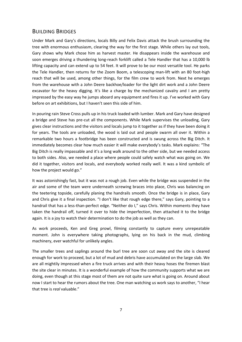#### <span id="page-8-0"></span>BUILDING BRIDGES

Under Mark and Gary's directions, locals Billy and Felix Davis attack the brush surrounding the tree with enormous enthusiasm, clearing the way for the first stage. While others lay out tools, Gary shows why Mark chose him as harvest master. He disappears inside the warehouse and soon emerges driving a thundering long-reach forklift called a Tele Handler that has a 10,000 lb lifting capacity and can extend up to 54 feet. It will prove to be our most versatile tool. He parks the Tele Handler, then returns for the Zoom Boom, a telescoping man-lift with an 80 foot-high reach that will be used, among other things, for the film crew to work from. Next he emerges from the warehouse with a John Deere backhoe/loader for the light dirt work and a John Deere excavator for the heavy digging. It's like a charge by the mechanized cavalry and I am pretty impressed by the easy way he jumps aboard any equipment and fires it up. I've worked with Gary before on art exhibitions, but I haven't seen this side of him.

In pouring rain Steve Cross pulls up in his truck loaded with lumber. Mark and Gary have designed a bridge and Steve has pre-cut all the components. While Mark supervises the unloading, Gary gives clear instructions and the visitors and locals jump to it together as if they have been doing it for years. The tools are unloaded, the wood is laid out and people swarm all over it. Within a remarkable two hours a footbridge has been constructed and is swung across the Big Ditch. It immediately becomes clear how much easier it will make everybody's tasks. Mark explains: "The Big Ditch is really impassable and it's a long walk around to the other side, but we needed access to both sides. Also, we needed a place where people could safely watch what was going on. We did it together, visitors and locals, and everybody worked really well. It was a kind symbolic of how the project would go."

It was astonishingly fast, but it was not a rough job. Even while the bridge was suspended in the air and some of the team were underneath screwing braces into place, Chris was balancing on the teetering topside, carefully planing the handrails smooth. Once the bridge is in place, Gary and Chris give it a final inspection. "I don't like that rough edge there," says Gary, pointing to a handrail that has a less-than-perfect edge. "Neither do I," says Chris. Within moments they have taken the handrail off, turned it over to hide the imperfection, then attached it to the bridge again. It is a joy to watch their determination to do the job as well as they can.

As work proceeds, Ken and Greg prowl, filming constantly to capture every unrepeatable moment. John is everywhere taking photographs, lying on his back in the mud, climbing machinery, ever watchful for unlikely angles.

The smaller trees and saplings around the burl tree are soon cut away and the site is cleared enough for work to proceed, but a lot of mud and debris have accumulated on the large slab. We are all mightily impressed when a fire truck arrives and with their heavy hoses the firemen blast the site clear in minutes. It is a wonderful example of how the community supports what we are doing, even though at this stage most of them are not quite sure what is going on. Around about now I start to hear the rumors about the tree. One man watching us work says to another, "I hear that tree is *real* valuable."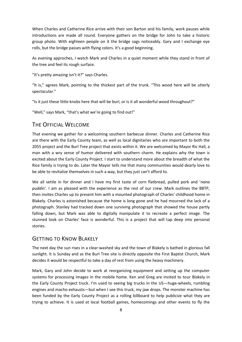When Charles and Catherine Rice arrive with their son Barton and his family, work pauses while introductions are made all round. Everyone gathers on the bridge for John to take a historic group photo. With eighteen people on it the bridge sags noticeably. Gary and I exchange eye rolls, but the bridge passes with flying colors. It's a good beginning.

As evening approches, I watch Mark and Charles in a quiet moment while they stand in front of the tree and feel its rough surface.

"It's pretty amazing isn't it?" says Charles.

"It is," agrees Mark, pointing to the thickest part of the trunk. "This wood here will be utterly spectacular."

"Is it just these little knobs here that will be burl, or is it all wonderful wood throughout?"

"Well," says Mark, "that's what we're going to find out!"

### <span id="page-9-0"></span>THE OFFICIAL WELCOME

That evening we gather for a welcoming southern barbecue dinner. Charles and Catherine Rice are there with the Early County team, as well as local dignitaries who are important to both the 2055 project and the Burl Tree project that exists within it. We are welcomed by Mayor Ric Hall, a man with a wry sense of humor delivered with southern charm. He explains why the town is excited about the Early County Project. I start to understand more about the breadth of what the Rice family is trying to do. Later the Mayor tells me that many communities would dearly love to be able to revitalize themselves in such a way, but they just can't afford to.

We all settle in for dinner and I have my first taste of corn flatbread, pulled pork and '*nana puddin'.* I am as pleased with the experience as the rest of our crew. Mark outlines the BBTP, then invites Charles up to present him with a mounted photograph of Charles' childhood home in Blakely. Charles is astonished because the home is long gone and he had mourned the lack of a photograph. Stanley had tracked down one surviving photograph that showed the house partly falling down, but Mark was able to digitally manipulate it to recreate a perfect image. The stunned look on Charles' face is wonderful. This is a project that will tap deep into personal stories.

### <span id="page-9-1"></span>**GETTING TO KNOW BLAKELY**

The next day the sun rises in a clear-washed sky and the town of Blakely is bathed in glorious fall sunlight. It is Sunday and as the Burl Tree site is directly opposite the First Baptist Church, Mark decides it would be respectful to take a day of rest from using the heavy machinery.

Mark, Gary and John decide to work at reorganizing equipment and setting up the computer systems for processing images in the mobile home. Ken and Greg are invited to tour Blakely in the Early County Project truck. I'm used to seeing big trucks in the US—huge-wheels, rumbling engines and macho exhausts—but when I see this truck, my jaw drops. The monster machine has been funded by the Early County Project as a rolling billboard to help publicize what they are trying to achieve. It is used at local football games, homecomings and other events to fly the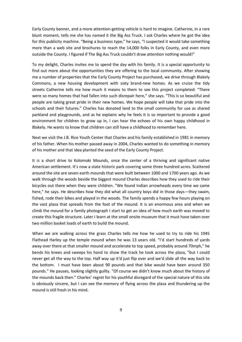Early County banner, and a more attention-getting vehicle is hard to imagine. Catherine, in a rare blunt moment, tells me she has named it the Big Ass Truck. I ask Charles where he got the idea for this publicity machine. "Being a business type," he says, "I suspected it would take something more than a web site and brochures to reach the 14,000 folks in Early County, and even more outside the County. I figured if The Big Ass Truck couldn't draw attention nothing would!"

To my delight, Charles invites me to spend the day with his family. It is a special opportunity to find out more about the opportunities they are offering to the local community. After showing me a number of properties that the Early County Project has purchased, we drive through Blakely Commons, a new housing development with sixty brand-new homes. As we cruise the tidy streets Catherine tells me how much it means to them to see this project completed: "There were so many homes that had fallen into such disrepair here," she says. "This is so beautiful and people are taking great pride in their new homes. We hope people will take that pride into the schools and their futures." Charles has donated land to the small community for use as shared parkland and playgrounds, and as he explains why he feels it is so important to provide a good environment for children to grow up in, I can hear the echoes of his own happy childhood in Blakely. He wants to know that children can still have a childhood to remember here.

Next we visit the J.B. Rice Youth Center that Charles and his family established in 1981 in memory of his father. When his mother passed away in 2004, Charles wanted to do something in memory of his mother and that idea planted the seed of the Early County Project.

It is a short drive to Kolomoki Mounds, once the center of a thriving and significant native American settlement. It's now a state historic park covering some three hundred acres. Scattered around the site are seven earth mounds that were built between 1000 and 1700 years ago. As we walk through the woods beside the biggest mound Charles describes how they used to ride their bicycles out there when they were children. "We found Indian arrowheads every time we came here," he says. He describes how they did what all country boys did in those days—they swam, fished, rode their bikes and played in the woods. The family spends a happy few hours playing on the vast plaza that spreads from the foot of the mound. It is an enormous area and when we climb the mound for a family photograph I start to get an idea of how much earth was moved to create this fragile structure. Later I learn at the small onsite museum that it must have taken over two million basket loads of earth to build the mound.

When we are walking across the grass Charles tells me how he used to try to ride his 1945 Flathead Harley up the temple mound when he was 13 years old. "I'd start hundreds of yards away over there at that smaller mound and accelerate to top speed, probably around 70mph," he bends his knees and sweeps his hand to show the track he took across the plaza, "but I could never get all the way to the top. Half way up it'd just flip over and we'd slide all the way back to the bottom. I must have been about 90 pounds and that bike would have been around 350 pounds." He pauses, looking slightly guilty. "Of course we didn't know much about the history of the mounds back then." Charles' regret for his youthful disregard of the special nature of this site is obviously sincere, but I can see the memory of flying across the plaza and thundering up the mound is still fresh in his mind.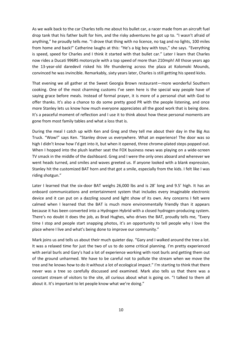As we walk back to the car Charles tells me about his bullet car, a racer made from an aircraft fuel drop tank that his father built for him, and the risky adventures he got up to. "I wasn't afraid of anything," he proudly tells me. "I drove that thing with no licence, no tag and no lights, 100 miles from home and back!" Catherine laughs at this: "He's a big boy with toys," she says. "Everything is speed, speed for Charles and I think it started with that bullet car." Later I learn that Charles now rides a Ducati 996RS motorcycle with a top speed of more than 210mph! All those years ago the 13-year-old daredevil risked his life thundering across the plaza at Kolomoki Mounds, convinced he was invincible. Remarkably, sixty years later, Charles is still getting his speed kicks.

That evening we all gather at the Sweet Georgia Brown restaurant—more wonderful Southern cooking. One of the most charming customs I've seen here is the special way people have of saying grace before meals. Instead of formal prayer, it is more of a personal chat with God to offer thanks. It's also a chance to do some pretty good PR with the people listening, and once more Stanley lets us know how much everyone appreciates all the good work that is being done. It's a peaceful moment of reflection and I use it to think about how these personal moments are gone from most family tables and what a loss that is.

During the meal I catch up with Ken and Greg and they tell me about their day in the Big Ass Truck. "Wow!" says Ken. "Stanley drove us everywhere. What an experience! The door was so high I didn't know how I'd get into it, but when it opened, three chrome-plated steps popped out. When I hopped into the plush leather seat the FOX business news was playing on a wide-screen TV smack in the middle of the dashboard. Greg and I were the only ones aboard and wherever we went heads turned, and smiles and waves greeted us. If anyone looked with a blank expression, Stanley hit the customized BAT horn and that got a smile, especially from the kids. I felt like I was riding shotgun."

Later I learned that the six-door BAT weighs 26,000 lbs and is 28' long and 9.5' high. It has an onboard communications and entertainment system that includes every imaginable electronic device and it can put on a dazzling sound and light show of its own. Any concerns I felt were calmed when I learned that the BAT is much more environmentally friendly than it appears because it has been converted into a Hydrogen Hybrid with a closed hydrogen-producing system. There's no doubt it does the job, as Brad Hughes, who drives the BAT, proudly tells me, "Every time I stop and people start snapping photos, it's an opportunity to tell people why I love the place where I live and what's being done to improve our community."

Mark joins us and tells us about their much quieter day. "Gary and I walked around the tree a lot. It was a relaxed time for just the two of us to do some critical planning. I'm pretty experienced with aerial burls and Gary's had a lot of experience working with root burls and getting them out of the ground unharmed. We have to be careful not to pollute the stream when we move the tree and he knows how to do it without a lot of ecological impact." I'm starting to think that there never was a tree so carefully discussed and examined. Mark also tells us that there was a constant stream of visitors to the site, all curious about what is going on. "I talked to them all about it. It's important to let people know what we're doing."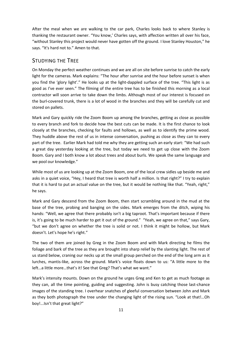After the meal when we are walking to the car park, Charles looks back to where Stanley is thanking the restaurant owner. "You know,' Charles says, with affection written all over his face, "without Stanley this project would never have gotten off the ground. I love Stanley Houston," he says. "It's hard not to." Amen to that.

### <span id="page-12-0"></span>STUDYING THE TREE

On Monday the perfect weather continues and we are all on site before sunrise to catch the early light for the cameras. Mark explains: "The hour after sunrise and the hour before sunset is when you find the 'glory light'." He looks up at the light-dappled surface of the tree. "This light is as good as I've ever seen." The filming of the entire tree has to be finished this morning as a local contractor will soon arrive to take down the limbs. Although most of our interest is focused on the burl-covered trunk, there is a lot of wood in the branches and they will be carefully cut and stored on pallets.

Mark and Gary quickly ride the Zoom Boom up among the branches, getting as close as possible to every branch and fork to decide how the best cuts can be made. It is the first chance to look closely at the branches, checking for faults and hollows, as well as to identify the prime wood. They huddle above the rest of us in intense conversation, pushing as close as they can to every part of the tree. Earlier Mark had told me why they are getting such an early start: "We had such a great day yesterday looking at the tree, but today we need to get up close with the Zoom Boom. Gary and I both know a lot about trees and about burls. We speak the same language and we pool our knowledge."

While most of us are looking up at the Zoom Boom, one of the local crew sidles up beside me and asks in a quiet voice, "Hey, I heard that tree is worth half a million. Is that right?" I try to explain that it is hard to put an actual value on the tree, but it would be nothing like that. "Yeah, right," he says.

Mark and Gary descend from the Zoom Boom, then start scrambling around in the mud at the base of the tree, probing and banging on the sides. Mark emerges from the ditch, wiping his hands: "Well, we agree that there probably isn't a big taproot. That's important because if there is, it's going to be much harder to get it out of the ground." "Yeah, we agree on that," says Gary, "but we don't agree on whether the tree is solid or not. I think it might be hollow, but Mark doesn't. Let's hope he's right."

The two of them are joined by Greg in the Zoom Boom and with Mark directing he films the foliage and bark of the tree as they are brought into sharp relief by the slanting light. The rest of us stand below, craning our necks up at the small group perched on the end of the long arm as it lurches, mantis-like, across the ground. Mark's voice floats down to us: "A little more to the left…a little more…that's it! See that Greg? That's what we want."

Mark's intensity mounts. Down on the ground he urges Greg and Ken to get as much footage as they can, all the time pointing, guiding and suggesting. John is busy catching those last-chance images of the standing tree. I overhear snatches of gleeful conversation between John and Mark as they both photograph the tree under the changing light of the rising sun. "Look at that!…Oh boy!...Isn't that great light?"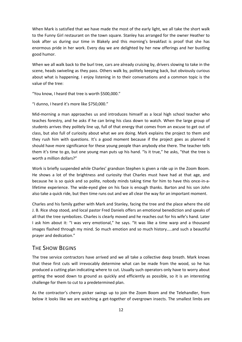When Mark is satisfied that we have made the most of the early light, we all take the short walk to the Funny Girl restaurant on the town square. Stanley has arranged for the owner Heather to look after us during our time in Blakely and this morning's breakfast is proof that she has enormous pride in her work. Every day we are delighted by her new offerings and her bustling good humor.

When we all walk back to the burl tree, cars are already cruising by, drivers slowing to take in the scene, heads swiveling as they pass. Others walk by, politely keeping back, but obviously curious about what is happening. I enjoy listening in to their conversations and a common topic is the value of the tree:

"You know, I heard that tree is worth \$500,000."

"I dunno, I heard it's more like \$750,000."

Mid-morning a man approaches us and introduces himself as a local high school teacher who teaches forestry, and he asks if he can bring his class down to watch. When the large group of students arrives they politely line up, full of that energy that comes from an excuse to get out of class, but also full of curiosity about what we are doing. Mark explains the project to them and they rush him with questions. It's a good moment because if the project goes as planned it should have more significance for these young people than anybody else there. The teacher tells them it's time to go, but one young man puts up his hand. "Is it true," he asks, "that the tree is worth a million dollars?"

Work is briefly suspended while Charles' grandson Stephen is given a ride up in the Zoom Boom. He shows a lot of the brightness and curiosity that Charles must have had at that age, and because he is so quick and so polite, nobody minds taking time for him to have this once-in-alifetime experience. The wide-eyed glee on his face is enough thanks. Barton and his son John also take a quick ride, but then time runs out and we all clear the way for an important moment.

Charles and his family gather with Mark and Stanley, facing the tree and the place where the old J. B. Rice shop stood, and local pastor Fred Daniels offers an emotional benediction and speaks of all that the tree symbolizes. Charles is clearly moved and he reaches out for his wife's hand. Later I ask him about it: "I was very emotional," he says. "It was like a time warp and a thousand images flashed through my mind. So much emotion and so much history…..and such a beautiful prayer and dedication."

### <span id="page-13-0"></span>THE SHOW BEGINS

The tree service contractors have arrived and we all take a collective deep breath. Mark knows that these first cuts will irrevocably determine what can be made from the wood, so he has produced a cutting plan indicating where to cut. Usually such operators only have to worry about getting the wood down to ground as quickly and efficiently as possible, so it is an interesting challenge for them to cut to a predetermined plan.

As the contractor's cherry picker swings up to join the Zoom Boom and the Telehandler, from below it looks like we are watching a get-together of overgrown insects. The smallest limbs are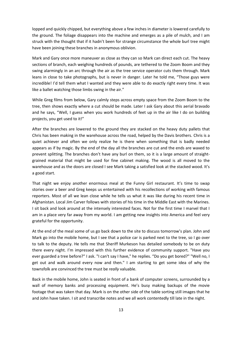lopped and quickly chipped, but everything above a few inches in diameter is lowered carefully to the ground. The foliage disappears into the machine and emerges as a pile of mulch, and I am struck with the thought that if it hadn't been for strange circumstance the whole burl tree might have been joining these branches in anonymous oblivion.

Mark and Gary once more maneuver as close as they can so Mark can direct each cut. The heavy sections of branch, each weighing hundreds of pounds, are tethered to the Zoom Boom and they swing alarmingly in an arc through the air as the tree service operator cuts them through. Mark leans in close to take photographs, but is never in danger. Later he told me, "Those guys were incredible! I'd tell them what I wanted and they were able to do exactly right every time. It was like a ballet watching those limbs swing in the air."

While Greg films from below, Gary calmly steps across empty space from the Zoom Boom to the tree, then shows exactly where a cut should be made. Later I ask Gary about this aerial bravado and he says, "Well, I guess when you work hundreds of feet up in the air like I do on building projects, you get used to it!"

After the branches are lowered to the ground they are stacked on the heavy duty pallets that Chris has been making in the warehouse across the road, helped by the Davis brothers. Chris is a quiet achiever and often we only realize he is there when something that is badly needed appears as if by magic. By the end of the day all the branches are cut and the ends are waxed to prevent splitting. The branches don't have any burl on them, so it is a large amount of straightgrained material that might be used for fine cabinet making. The wood is all moved to the warehouse and as the doors are closed I see Mark taking a satisfied look at the stacked wood. It's a good start.

That night we enjoy another enormous meal at the Funny Girl restaurant. It's time to swap stories over a beer and Greg keeps us entertained with his recollections of working with famous reporters. Most of all we lean close while he tells us what it was like during his recent time in Afghanistan. Local Jim Carver follows with stories of his time in the Middle East with the Marines. I sit back and look around at the intensely interested faces. Not for the first time I marvel that I am in a place very far away from my world. I am getting new insights into America and feel very grateful for the opportunity.

At the end of the meal some of us go back down to the site to discuss tomorrow's plan. John and Mark go into the mobile home, but I see that a police car is parked next to the tree, so I go over to talk to the deputy. He tells me that Sheriff Murkeson has detailed somebody to be on duty there every night. I'm impressed with this further evidence of community support. "Have you ever guarded a tree before?" I ask. "I can't say I have," he replies. "Do you get bored?" "Well no, I get out and walk around every now and then." I am starting to get some idea of why the townsfolk are convinced the tree must be *really* valuable.

Back in the mobile home, John is seated in front of a bank of computer screens, surrounded by a wall of memory banks and processing equipment. He's busy making backups of the movie footage that was taken that day. Mark is on the other side of the table sorting still images that he and John have taken. I sit and transcribe notes and we all work contentedly till late in the night.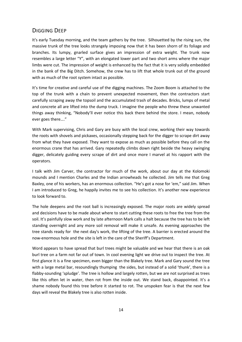### <span id="page-15-0"></span>DIGGING DEEP

It's early Tuesday morning, and the team gathers by the tree. Silhouetted by the rising sun, the massive trunk of the tree looks strangely imposing now that it has been shorn of its foliage and branches. Its lumpy, gnarled surface gives an impression of extra weight. The trunk now resembles a large letter "Y", with an elongated lower part and two short arms where the major limbs were cut. The impression of weight is enhanced by the fact that it is very solidly embedded in the bank of the Big Ditch. Somehow, the crew has to lift that whole trunk out of the ground with as much of the root system intact as possible.

It's time for creative and careful use of the digging machines. The Zoom Boom is attached to the top of the trunk with a chain to prevent unexpected movement, then the contractors start carefully scraping away the topsoil and the accumulated trash of decades. Bricks, lumps of metal and concrete all are lifted into the dump truck. I imagine the people who threw these unwanted things away thinking, "Nobody'll ever notice this back there behind the store. I mean, nobody ever goes there…."

With Mark supervising, Chris and Gary are busy with the local crew, working their way towards the roots with shovels and pickaxes, occasionally stepping back for the digger to scrape dirt away from what they have exposed. They want to expose as much as possible before they call on the enormous crane that has arrived. Gary repeatedly climbs down right beside the heavy swinging digger, delicately guiding every scrape of dirt and once more I marvel at his rapport with the operators.

I talk with Jim Carver, the contractor for much of the work, about our day at the Kolomoki mounds and I mention Charles and the Indian arrowheads he collected. Jim tells me that Greg Baxley, one of his workers, has an enormous collection. "He's got a nose for 'em," said Jim. When I am introduced to Greg, he happily invites me to see his collection. It's another new experience to look forward to.

The hole deepens and the root ball is increasingly exposed. The major roots are widely spread and decisions have to be made about where to start cutting these roots to free the tree from the soil. It's painfully slow work and by late afternoon Mark calls a halt because the tree has to be left standing overnight and any more soil removal will make it unsafe. As evening approaches the tree stands ready for the next day's work, the lifting of the tree. A barrier is erected around the now-enormous hole and the site is left in the care of the Sheriff's Department.

Word appears to have spread that burl trees might be valuable and we hear that there is an oak burl tree on a farm not far out of town. In cool evening light we drive out to inspect the tree. At first glance it is a fine specimen, even bigger than the Blakely tree. Mark and Gary sound the tree with a large metal bar, resoundingly thumping the sides, but instead of a solid 'thunk', there is a flabby-sounding 'spludge'. The tree is hollow and largely rotten, but we are not surprised as trees like this often let in water, then rot from the inside out. We stand back, disappointed. It's a shame nobody found this tree before it started to rot. The unspoken fear is that the next few days will reveal the Blakely tree is also rotten inside.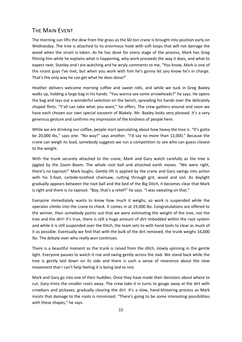### <span id="page-16-0"></span>THE MAIN FVENT

The morning sun lifts the dew from the grass as the 60-ton crane is brought into position early on Wednesday. The tree is attached to its enormous hook with soft loops that will not damage the wood when the strain is taken. As he has done for every stage of the process, Mark has Greg filming him while he explains what is happening, why work proceeds the way it does, and what to expect next. Stanley and I are watching and he wryly comments to me, "You know, Mark is one of the nicest guys I've met, but when you work with him he's gonna let you know he's in charge. That's the only way he can get what he does done!"

Heather delivers welcome morning coffee and sweet rolls, and while we tuck in Greg Baxley walks up, holding a large bag in his hands. "You wanna see some arrowheads?" he says. He opens the bag and lays out a wonderful selection on the bench, spreading his hands over the delicately shaped flints. "Y'all can take what you want," he offers. The crew gathers around and soon we have each chosen our own special souvenir of Blakely. Mr. Baxley looks very pleased. It's a very generous gesture and confirms my impression of the kindness of people here.

While we are drinking our coffee, people start speculating about how heavy the tree is. "It's gotta be 20,000 lbs," says one. "No way!" says another. "I'd say no more than 12,000." Because the crane can weigh its load, somebody suggests we run a competition to see who can guess closest to the weight.

With the trunk securely attached to the crane, Mark and Gary watch carefully as the tree is jiggled by the Zoom Boom. The whole root ball and attached earth moves. "We were right, there's no taproot!" Mark laughs. Gentle lift is applied by the crane and Gary swings into action with his 5-foot, carbide-toothed chainsaw, cutting through grit, wood and soil. As daylight gradually appears between the root ball and the bed of the Big Ditch, it becomes clear that Mark is right and there is no taproot. "Boy, that's a relief!" he says. "I was sweating on that."

Everyone immediately wants to know how much it weighs, so work is suspended while the operator climbs into the crane to check. It comes in at 19,000 lbs. Congratulations are offered to the winner, then somebody points out that we were estimating the weight of the tree, not the tree and the dirt! It's true, there is still a huge amount of dirt imbedded within the root system and while it is still suspended over the Ditch, the team sets to with hand tools to clear as much of it as possible. Eventually we find that with the bulk of the dirt removed, the trunk weighs 16,000 lbs. The debate over who really won continues.

There is a beautiful moment as the trunk is raised from the ditch, slowly spinning in the gentle light. Everyone pauses to watch it rise and swing gently across the slab. We stand back while the tree is gently laid down on its side and there is such a sense of reverence about the slow movement that I can't help feeling it is being laid to rest.

Mark and Gary go into one of their huddles. Once they have made their decisions about where to cut, Gary trims the smaller roots away. The crew take it in turns to gouge away at the dirt with crowbars and pickaxes, gradually clearing the dirt. It's a slow, hand-blistering process as Mark insists that damage to the roots is minimized. "There's going to be some interesting possibilities with these shapes," he says.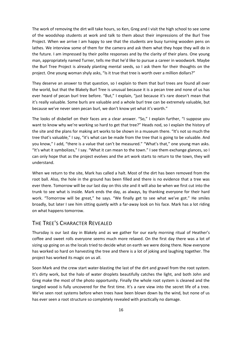The work of removing the dirt will take hours, so Ken, Greg and I visit the high school to see some of the woodshop students at work and talk to them about their impressions of the Burl Tree Project. When we arrive I am happy to see that the students are busy turning wooden pens on lathes. We interview some of them for the camera and ask them what they hope they will do in the future. I am impressed by their polite responses and by the clarity of their plans. One young man, appropriately named Turner, tells me that he'd like to pursue a career in woodwork. Maybe the Burl Tree Project is already planting mental seeds, so I ask them for their thoughts on the project. One young woman shyly asks, "Is it true that tree is worth over a million dollars?"

They deserve an answer to that question, so I explain to them that burl trees are found all over the world, but that the Blakely Burl Tree is unusual because it is a pecan tree and none of us has ever heard of pecan burl tree before. "But," I explain, "just because it's rare doesn't mean that it's really valuable. Some burls are valuable and a whole burl tree can be extremely valuable, but because we've never seen pecan burl, we don't know yet what it's worth."

The looks of disbelief on their faces are a clear answer. "So," I explain further, "I suppose you want to know why we're working so hard to get that tree?" Heads nod, so I explain the history of the site and the plans for making art works to be shown in a museum there. "It's not so much the tree that's valuable," I say, "it's what can be made from the tree that is going to be valuable. And you know," I add, "there is a value that can't be measured." "What's that," one young man asks. "It's what it symbolizes," I say. "What it can mean to the town." I see them exchange glances, so I can only hope that as the project evolves and the art work starts to return to the town, they will understand.

When we return to the site, Mark has called a halt. Most of the dirt has been removed from the root ball. Also, the hole in the ground has been filled and there is no evidence that a tree was ever there. Tomorrow will be our last day on this site and it will also be when we first cut into the trunk to see what is inside. Mark ends the day, as always, by thanking everyone for their hard work. "Tomorrow will be great," he says. "We finally get to see what we've got." He smiles broadly, but later I see him sitting quietly with a far-away look on his face. Mark has a lot riding on what happens tomorrow.

### <span id="page-17-0"></span>THE TREE'S CHARACTER REVEALED

Thursday is our last day in Blakely and as we gather for our early morning ritual of Heather's coffee and sweet rolls everyone seems much more relaxed. On the first day there was a lot of sizing up going on as the locals tried to decide what on earth we were doing there. Now everyone has worked so hard on harvesting the tree and there is a lot of joking and laughing together. The project has worked its magic on us all.

Soon Mark and the crew start water-blasting the last of the dirt and gravel from the root system. It's dirty work, but the halo of water droplets beautifully catches the light, and both John and Greg make the most of the photo opportunity. Finally the whole root system is cleaned and the tangled wood is fully uncovered for the first time. It's a rare view into the secret life of a tree. We've seen root systems before when trees have been blown down by the wind, but none of us has ever seen a root structure so completely revealed with practically no damage.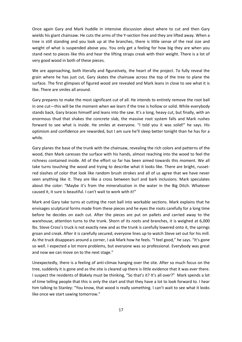Once again Gary and Mark huddle in intensive discussion about where to cut and then Gary wields his giant chainsaw. He cuts the arms of the Y-section free and they are lifted away. When a tree is still standing and you look up at the branches, there is little sense of the real size and weight of what is suspended above you. You only get a feeling for how big they are when you stand next to pieces like this and hear the lifting straps creak with their weight. There is a lot of very good wood in both of these pieces.

We are approaching, both literally and figuratively, the heart of the project. To fully reveal the grain where he has just cut, Gary skates the chainsaw across the top of the tree to plane the surface. The first glimpses of figured wood are revealed and Mark leans in close to see what it is like. There are smiles all around.

Gary prepares to make the most significant cut of all. He intends to entirely remove the root ball in one cut—this will be the moment when we learn if the tree is hollow or solid. While everybody stands back, Gary braces himself and leans into the saw. It's a long, heavy cut, but finally, with an enormous thud that shakes the concrete slab, the massive root system falls and Mark rushes forward to see what is inside. He smiles at everyone. "I told you it was solid!" he says. His optimism and confidence are rewarded, but I am sure he'll sleep better tonight than he has for a while.

Gary planes the base of the trunk with the chainsaw, revealing the rich colors and patterns of the wood, then Mark caresses the surface with his hands, almost reaching into the wood to feel the richness contained inside. All of the effort so far has been aimed towards this moment. We all take turns touching the wood and trying to describe what it looks like. There are bright, russetred slashes of color that look like random brush strokes and all of us agree that we have never seen anything like it. They are like a cross between burl and bark inclusions. Mark speculates about the color: "Maybe it's from the mineralization in the water in the Big Ditch. Whatever caused it, it sure is beautiful. I can't wait to work with it!"

Mark and Gary take turns at cutting the root ball into workable sections. Mark explains that he envisages sculptural forms made from these pieces and he eyes the roots carefully for a long time before he decides on each cut. After the pieces are put on pallets and carried away to the warehouse, attention turns to the trunk. Shorn of its roots and branches, it is weighed at 6,000 lbs. Steve Cross's truck is not exactly new and as the trunk is carefully lowered onto it, the springs groan and creak. After it is carefully secured, everyone lines up to watch Steve set out for his mill. As the truck disappears around a corner, I ask Mark how he feels. "I feel good," he says. "It's gone so well. I expected a lot more problems, but everyone was so professional. Everybody was great and now we can move on to the next stage."

Unexpectedly, there is a feeling of anti-climax hanging over the site. After so much focus on the tree, suddenly it is gone and as the site is cleared up there is little evidence that it was ever there. I suspect the residents of Blakely must be thinking, "So that's it? It's all over?" Mark spends a lot of time telling people that this is only the start and that they have a lot to look forward to. I hear him talking to Stanley: "You know, that wood is really something. I can't wait to see what it looks like once we start sawing tomorrow."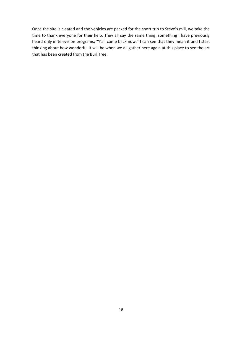Once the site is cleared and the vehicles are packed for the short trip to Steve's mill, we take the time to thank everyone for their help. They all say the same thing, something I have previously heard only in television programs: "Y'all come back now." I can see that they mean it and I start thinking about how wonderful it will be when we all gather here again at this place to see the art that has been created from the Burl Tree.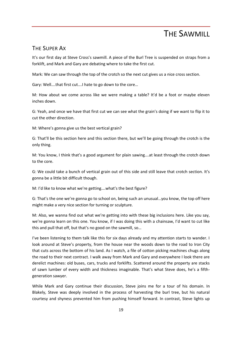### THE SAWMILL

### <span id="page-20-1"></span><span id="page-20-0"></span>THE SUPER AX

It's our first day at Steve Cross's sawmill. A piece of the Burl Tree is suspended on straps from a forklift, and Mark and Gary are debating where to take the first cut.

Mark: We can saw through the top of the crotch so the next cut gives us a nice cross section.

Gary: Well….that first cut….I hate to go down to the core…

M: How about we come across like we were making a table? It'd be a foot or maybe eleven inches down.

G: Yeah, and once we have that first cut we can see what the grain's doing if we want to flip it to cut the other direction.

M: Where's gonna give us the best vertical grain?

G: That'll be this section here and this section there, but we'll be going through the crotch is the only thing.

M: You know, I think that's a good argument for plain sawing….at least through the crotch down to the core.

G: We could take a bunch of vertical grain out of this side and still leave that crotch section. It's gonna be a little bit difficult though.

M: I'd like to know what we're getting….what's the best figure?

G: That's the one we're gonna go to school on, being such an unusual…you know, the top off here might make a very nice section for turning or sculpture.

M: Also, we wanna find out what we're getting into with these big inclusions here. Like you say, we're gonna learn on this one. You know, if I was doing this with a chainsaw, I'd want to cut like this and pull that off, but that's no good on the sawmill, so…

I've been listening to them talk like this for six days already and my attention starts to wander. I look around at Steve's property, from the house near the woods down to the road to Iron City that cuts across the bottom of his land. As I watch, a file of cotton picking machines chugs along the road to their next contract. I walk away from Mark and Gary and everywhere I look there are derelict machines: old buses, cars, trucks and forklifts. Scattered around the property are stacks of sawn lumber of every width and thickness imaginable. That's what Steve does, he's a fifthgeneration sawyer.

While Mark and Gary continue their discussion, Steve joins me for a tour of his domain. In Blakely, Steve was deeply involved in the process of harvesting the burl tree, but his natural courtesy and shyness prevented him from pushing himself forward. In contrast, Steve lights up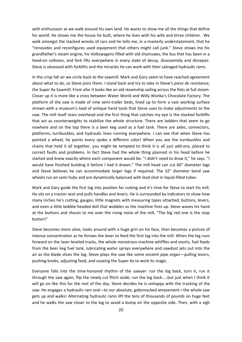with enthusiasm as we walk around his own land. He wants to show me all the things that define his world. He shows me the house he built, where he lives with his wife and three children. We walk amongst the stacked wrecks of cars and he tells me, in a masterly understatement, that he "renovates and reconfigures used equipment that others might call junk." Steve shows me his grandfather's steam engine, his Volkswagens filled with old chainsaws, the bus that has been in a head-on collision, and fork lifts everywhere in every state of decay, disassembly and disrepair. Steve is obsessed with forklifts and the miracles he can work with their salvaged hydraulic rams.

In the crisp fall air we circle back to the sawmill. Mark and Gary seem to have reached agreement about what to do, so Steve joins them. I stand back and try to take in Steve's *piece de resistance*, the Super Ax Sawmill. From afar it looks like an old steamship sailing across the flats at full steam. Closer up it is more like a cross between Water World and Willy Wonka's Chocolate Factory. The platform of the saw is made of nine semi-trailer beds, lined up to form a vast working surface strewn with a museum's load of antique hand tools that Steve uses to make adjustments to the saw. The mill itself rears overhead and the first thing that catches my eye is the stacked forklifts that act as counterweights to stabilize the whole structure. There are ladders that seem to go nowhere and on the top there is a beer keg used as a fuel tank. There are axles, connectors, platforms, turnbuckles, and hydraulic lines running everywhere. I can see that when Steve has painted a wheel, he paints every spoke a different color! When you see the turnbuckles and chains that hold it all together, you might be tempted to think it is all just add-ons, placed to correct faults and problems. In fact Steve had the whole thing planned in his head before he started and knew exactly where each component would be. "I didn't need to draw it," he says. "I would have finished building it before I had it drawn." The mill head can cut 60" diameter logs and Steve believes he can accommodate larger logs if required. The 32" diameter band saw wheels run on semi hubs and are dynamically balanced with lead shot in liquid-filled tubes.

Mark and Gary guide the first log into position for cutting and it's time for Steve to start his mill. He sits on a tractor seat and pulls handles and levers. He is surrounded by indicators to show how many inches he's cutting, gauges, little magnets with measuring tapes attached, buttons, levers, and even a little bobble-headed doll that wobbles as the machine fires up. Steve waves his hand at the buttons and shouts to me over the rising noise of the mill, "The big red one is the stop button!"

Steve becomes more alive, looks around with a huge grin on his face, then becomes a picture of intense concentration as he throws the lever to feed the first log into the mill. When the log runs forward on the laser-leveled tracks, the whole monstrous machine whiffles and snorts, fuel feeds from the beer keg fuel tank, lubricating water sprays everywhere and sawdust jets out into the air as the blade slices the log. Steve plays the saw like some ancient pipe organ—pulling levers, pushing knobs, adjusting feed, and coaxing the Super Ax to work its magic.

Everyone falls into the time-honored rhythm of the sawyer: run the log back, turn it, run it through the saw again, flip the newly cut flitch aside, run the log back…..but just when I think it will go on like this for the rest of the day, Steve decides he is unhappy with the tracking of the saw. He engages a hydraulic ram and—to our absolute, gobsmacked amazement—the whole saw gets up and walks! Alternating hydraulic rams lift the tens of thousands of pounds on huge feet and he walks the saw closer to the log to avoid a bump on the opposite side. Then, with a sigh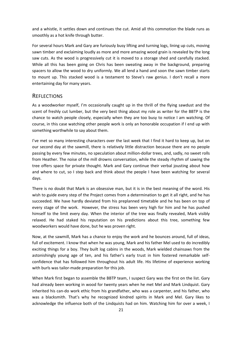and a whistle, it settles down and continues the cut. Amid all this commotion the blade runs as smoothly as a hot knife through butter.

For several hours Mark and Gary are furiously busy lifting and turning logs, lining up cuts, moving sawn timber and exclaiming loudly as more and more amazing wood grain is revealed by the long saw cuts. As the wood is progressively cut it is moved to a storage shed and carefully stacked. While all this has been going on Chris has been sweating away in the background, preparing spacers to allow the wood to dry uniformly. We all lend a hand and soon the sawn timber starts to mount up. This stacked wood is a testament to Steve's raw genius. I don't recall a more entertaining day for many years.

#### <span id="page-22-0"></span>**REFLECTIONS**

As a woodworker myself, I'm occasionally caught up in the thrill of the flying sawdust and the scent of freshly cut lumber, but the very best thing about my role as writer for the BBTP is the chance to watch people closely, especially when they are too busy to notice I am watching. Of course, in this case watching other people work is only an honorable occupation if I end up with something worthwhile to say about them.

I've met so many interesting characters over the last week that I find it hard to keep up, but on our second day at the sawmill, there is relatively little distraction because there are no people passing by every few minutes, no speculation about million-dollar trees, and, sadly, no sweet rolls from Heather. The noise of the mill drowns conversation, while the steady rhythm of sawing the tree offers space for private thought. Mark and Gary continue their verbal jousting about how and where to cut, so I step back and think about the people I have been watching for several days.

There is no doubt that Mark is an obsessive man, but it is in the best meaning of the word. His wish to guide every step of the Project comes from a determination to get it all right, and he has succeeded. We have hardly deviated from his preplanned timetable and he has been on top of every stage of the work. However, the stress has been very high for him and he has pushed himself to the limit every day. When the interior of the tree was finally revealed, Mark visibly relaxed. He had staked his reputation on his predictions about this tree, something few woodworkers would have done, but he was proven right.

Now, at the sawmill, Mark has a chance to enjoy the work and he bounces around, full of ideas, full of excitement. I know that when he was young, Mark and his father Mel used to do incredibly exciting things for a boy. They built log cabins in the woods, Mark wielded chainsaws from the astonishingly young age of ten, and his father's early trust in him fostered remarkable selfconfidence that has followed him throughout his adult life. His lifetime of experience working with burls was tailor-made preparation for this job.

When Mark first began to assemble the BBTP team, I suspect Gary was the first on the list. Gary had already been working in wood for twenty years when he met Mel and Mark Lindquist. Gary inherited his can-do work ethic from his grandfather, who was a carpenter, and his father, who was a blacksmith. That's why he recognized kindred spirits in Mark and Mel. Gary likes to acknowledge the influence both of the Lindquists had on him. Watching him for over a week, I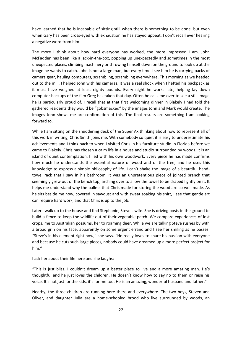have learned that he is incapable of sitting still when there is something to be done, but even when Gary has been cross-eyed with exhaustion he has stayed upbeat. I don't recall ever hearing a negative word from him.

The more I think about how hard everyone has worked, the more impressed I am. John McFadden has been like a jack-in-the-box, popping up unexpectedly and sometimes in the most unexpected places, climbing machinery or throwing himself down on the ground to look up at the image he wants to catch. John is not a large man, but every time I see him he is carrying packs of camera gear, hauling computers, scrambling, scrambling everywhere. This morning as we headed out to the mill, I helped John with his cameras. It was a real shock when I hefted his backpack as it must have weighed at least eighty pounds. Every night he works late, helping lay down computer backups of the film Greg has taken that day. Often he calls me over to see a still image he is particularly proud of. I recall that at that first welcoming dinner in Blakely I had told the gathered residents they would be "gobsmacked" by the images John and Mark would create. The images John shows me are confirmation of this. The final results are something I am looking forward to.

While I am sitting on the shuddering deck of the Super Ax thinking about how to represent all of this work in writing, Chris Smith joins me. With somebody so quiet it is easy to underestimate his achievements and I think back to when I visited Chris in his furniture studio in Florida before we came to Blakely. Chris has chosen a calm life in a house and studio surrounded by woods. It is an island of quiet contemplation, filled with his own woodwork. Every piece he has made confirms how much he understands the essential nature of wood and of the tree, and he uses this knowledge to express a simple philosophy of life. I can't shake the image of a beautiful handtowel rack that I saw in his bathroom. It was an unpretentious piece of jointed branch that seemingly grew out of the bench top, arching over to allow the towel to be draped lightly on it. It helps me understand why the pallets that Chris made for storing the wood are so well made. As he sits beside me now, covered in sawdust and with sweat soaking his shirt, I see that gentle art can require hard work, and that Chris is up to the job.

Later I walk up to the house and find Stephanie, Steve's wife. She is driving posts in the ground to build a fence to keep the wildlife out of their vegetable patch. We compare experiences of lost crops, me to Australian possums, her to roaming deer. While we are talking Steve rushes by with a broad grin on his face, apparently on some urgent errand and I see her smiling as he passes. "Steve's in his element right now," she says. "He really loves to share his passion with everyone and because he cuts such large pieces, nobody could have dreamed up a more perfect project for him."

I ask her about their life here and she laughs:

"This is just bliss. I couldn't dream up a better place to live and a more amazing man. He's thoughtful and he just loves the children. He doesn't know how to say no to them or raise his voice. It's not just for the kids, it's for me too. He is an amazing, wonderful husband and father."

Nearby, the three children are running here there and everywhere. The two boys, Steven and Oliver, and daughter Julia are a home-schooled brood who live surrounded by woods, an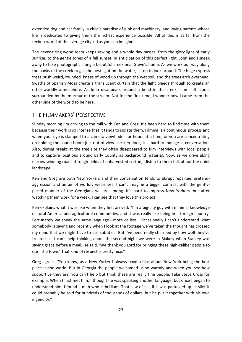extended dog and cat family, a child's paradise of junk and machinery, and loving parents whose life is dedicated to giving them the richest experience possible. All of this is as far from the techno-world of the average city kid as you can imagine.

The never-tiring wood team keeps sawing and a whole day passes, from the glory light of early sunrise, to the gentle tones of a fall sunset. In anticipation of this perfect light, John and I sneak away to take photographs along a beautiful creek near Steve's home. As we work our way along the banks of the creek to get the best light on the water, I stop to look around. The huge cypress trees push weird, rounded knees of wood up through the wet soil, and the trees arch overhead. Swaths of Spanish Moss create a translucent curtain that the light bleeds through to create an other-worldly atmosphere. As John disappears around a bend in the creek, I am left alone, surrounded by the murmur of the stream. Not for the first time, I wonder how I came from the other side of the world to be here.

### <span id="page-24-0"></span>THE FILMMAKERS' PERSPECTIVE

Sunday morning I'm driving to the mill with Ken and Greg. It's been hard to find time with them because their work is so intense that it tends to isolate them. Filming is a continuous process and when your eye is clamped to a camera viewfinder for hours at a time, or you are concentrating on holding the sound boom just out of view like Ken does, it is hard to indulge in conversation. Also, during breaks at the tree site they often disappeared to film interviews with local people and to capture locations around Early County as background material. Now, as we drive along narrow winding roads through fields of unharvested cotton, I listen to them talk about the quiet landscape.

Ken and Greg are both New Yorkers and their conversation tends to abrupt repartee, pretendaggression and an air of worldly weariness. I can't imagine a bigger contrast with the gentlypaced manner of the Georgians we are among. It's hard to impress New Yorkers, but after watching them work for a week, I can see that they love this project.

Ken explains what it was like when they first arrived: "I'm a big-city guy with minimal knowledge of rural America and agricultural communities, and it was really like being in a foreign country. Fortunately we speak the same language—more or less. Occasionally I can't understand what somebody is saying and recently when I look at the footage we've taken the thought has crossed my mind that we might have to use subtitles! But I've been really charmed by how well they've treated us. I can't help thinking about the second night we were in Blakely when Stanley was saying grace before a meal. He said, 'We thank you Lord for bringing these high-caliber people to our little town.' That kind of respect is pretty nice."

Greg agrees: "You know, as a New Yorker I always have a bias about New York being the best place in the world. But in Georgia the people welcomed us so warmly and when you see how supportive they are, you can't help but think these are really fine people. Take Steve Cross for example. When I first met him, I thought he was speaking another language, but once I began to understand him, I found a man who is brilliant. That saw of his, if it was packaged up all slick it could probably be sold for hundreds of thousands of dollars, but he put it together with his own ingenuity."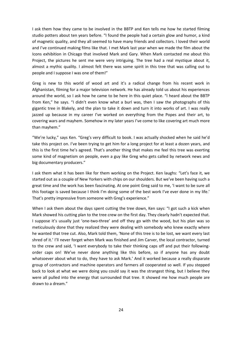I ask them how they came to be involved in the BBTP and Ken tells me how he started filming studio potters about ten years before. "I found the people had a certain glow and humor, a kind of magnetic quality, and they all seemed to have many friends and collectors. I loved their world and I've continued making films like that. I met Mark last year when we made the film about the Icons exhibition in Chicago that involved Mark and Gary. When Mark contacted me about this Project, the pictures he sent me were very intriguing. The tree had a real mystique about it, almost a mythic quality. I almost felt there was some spirit in this tree that was calling out to people and I suppose I was one of them!"

Greg is new to this world of wood art and it's a radical change from his recent work in Afghanistan, filming for a major television network. He has already told us about his experiences around the world, so I ask how he came to be here in this quiet place. "I heard about the BBTP from Ken," he says. "I didn't even know what a burl was, then I saw the photographs of this gigantic tree in Blakely, and the plan to take it down and turn it into works of art. I was really jazzed up because in my career I've worked on everything from the Popes and their art, to covering wars and mayhem. Somehow in my later years I've come to like covering art much more than mayhem."

"We're lucky," says Ken. "Greg's very difficult to book. I was actually shocked when he said he'd take this project on. I've been trying to get him for a long project for at least a dozen years, and this is the first time he's agreed. That's another thing that makes me feel this tree was exerting some kind of magnetism on people, even a guy like Greg who gets called by network news and big documentary producers."

I ask them what it has been like for them working on the Project. Ken laughs: "Let's face it, we started out as a couple of New Yorkers with chips on our shoulders. But we've been having such a great time and the work has been fascinating. At one point Greg said to me, 'I want to be sure all this footage is saved because I think I'm doing some of the best work I've ever done in my life.' That's pretty impressive from someone with Greg's experience."

When I ask them about the days spent cutting the tree down, Ken says: "I got such a kick when Mark showed his cutting plan to the tree crew on the first day. They clearly hadn't expected that. I suppose it's usually just 'one-two-three' and off they go with the wood, but his plan was so meticulously done that they realized they were dealing with somebody who knew exactly where he wanted that tree cut. Also, Mark told them, 'None of this tree is to be lost, we want every last shred of it.' I'll never forget when Mark was finished and Jim Carver, the local contractor, turned to the crew and said, 'I want everybody to take their thinking caps off and put their followingorder caps on! We've never done anything like this before, so if anyone has any doubt whatsoever about what to do, they have to ask Mark.' And it worked because a really disparate group of contractors and machine operators and farmers all cooperated so well. If you stepped back to look at what we were doing you could say it was the strangest thing, but I believe they were all pulled into the energy that surrounded that tree. It showed me how much people are drawn to a dream."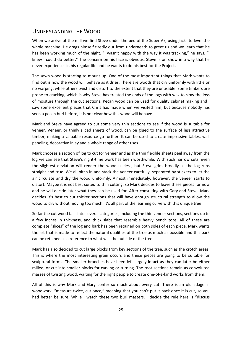### <span id="page-26-0"></span>UNDERSTANDING THE WOOD

When we arrive at the mill we find Steve under the bed of the Super Ax, using jacks to level the whole machine. He drags himself tiredly out from underneath to greet us and we learn that he has been working much of the night. "I wasn't happy with the way it was tracking," he says. "I knew I could do better." The concern on his face is obvious. Steve is on show in a way that he never experiences in his regular life and he wants to do his best for the Project.

The sawn wood is starting to mount up. One of the most important things that Mark wants to find out is how the wood will behave as it dries. There are woods that dry uniformly with little or no warping, while others twist and distort to the extent that they are unusable. Some timbers are prone to cracking, which is why Steve has treated the ends of the logs with wax to slow the loss of moisture through the cut sections. Pecan wood can be used for quality cabinet making and I saw some excellent pieces that Chris has made when we visited him, but because nobody has seen a pecan burl before, it is not clear how this wood will behave.

Mark and Steve have agreed to cut some very thin sections to see if the wood is suitable for veneer. Veneer, or thinly sliced sheets of wood, can be glued to the surface of less attractive timber, making a valuable resource go further. It can be used to create impressive tables, wall paneling, decorative inlay and a whole range of other uses.

Mark chooses a section of log to cut for veneer and as the thin flexible sheets peel away from the log we can see that Steve's night-time work has been worthwhile. With such narrow cuts, even the slightest deviation will render the wood useless, but Steve grins broadly as the log runs straight and true. We all pitch in and stack the veneer carefully, separated by stickers to let the air circulate and dry the wood uniformly. Almost immediately, however, the veneer starts to distort. Maybe it is not best suited to thin cutting, so Mark decides to leave these pieces for now and he will decide later what they can be used for. After consulting with Gary and Steve, Mark decides it's best to cut thicker sections that will have enough structural strength to allow the wood to dry without moving too much. It's all part of the learning curve with this unique tree.

So far the cut wood falls into several categories, including the thin veneer sections, sections up to a few inches in thickness, and thick slabs that resemble heavy bench tops. All of these are complete "slices" of the log and bark has been retained on both sides of each piece. Mark wants the art that is made to reflect the natural qualities of the tree as much as possible and this bark can be retained as a reference to what was the outside of the tree.

Mark has also decided to cut large blocks from key sections of the tree, such as the crotch areas. This is where the most interesting grain occurs and these pieces are going to be suitable for sculptural forms. The smaller branches have been left largely intact as they can later be either milled, or cut into smaller blocks for carving or turning. The root sections remain as convoluted masses of twisting wood, waiting for the right people to create one-of-a-kind works from them.

All of this is why Mark and Gary confer so much about every cut. There is an old adage in woodwork, "measure twice, cut once," meaning that you can't put it back once it is cut, so you had better be sure. While I watch these two burl masters, I decide the rule here is "discuss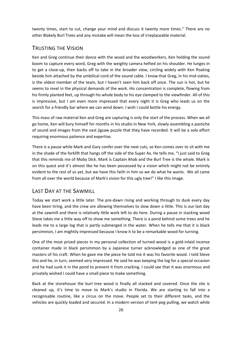twenty times, start to cut, change your mind and discuss it twenty more times." There are no other Blakely Burl Trees and any mistake will mean the loss of irreplaceable material.

### <span id="page-27-0"></span>TRUSTING THE VISION

Ken and Greg continue their dance with the wood and the woodworkers, Ken holding the sound boom to capture every word, Greg with the weighty camera hefted on his shoulder. He lunges in to get a close-up, then backs off to take in the broader view, circling widely with Ken floating beside him attached by the umbilical cord of the sound cable. I know that Greg, in his mid-sixties, is the oldest member of the team, but I haven't seen him back off once. The sun is hot, but he seems to revel in the physical demands of the work. His concentration is complete, flowing from his firmly planted feet, up through his whole body to his eye clamped to the viewfinder. All of this is impressive, but I am even more impressed that every night it is Greg who leads us on the search for a friendly bar where we can wind down. I wish I could bottle his energy.

This mass of raw material Ken and Greg are capturing is only the start of the process. When we all go home, Ken will bury himself for months in his studio in New York, slowly assembling a pastiche of sound and images from the vast jigsaw puzzle that they have recorded. It will be a solo effort requiring enormous patience and expertise.

There is a pause while Mark and Gary confer over the next cuts, so Ken comes over to sit with me in the shade of the forklift that hangs off the side of the Super Ax. He tells me, "I just said to Greg that this reminds me of Moby Dick. Mark is Captain Ahab and the Burl Tree is the whale. Mark is on this quest and it's almost like he has been possessed by a vision which might not be entirely evident to the rest of us yet, but we have this faith in him so we do what he wants. We all came from all over the world because of Mark's vision for this ugly tree!" I like this image.

### <span id="page-27-1"></span>LAST DAY AT THE SAWMILL

Today we start work a little later. The pre-dawn rising and working through to dusk every day have been tiring, and the crew are allowing themselves to slow down a little. This is our last day at the sawmill and there is relatively little work left to do here. During a pause in stacking wood Steve takes me a little way off to show me something. There is a pond behind some trees and he leads me to a large log that is partly submerged in the water. When he tells me that it is black persimmon, I am mightily impressed because I know it to be a remarkable wood for turning.

One of the most prized pieces in my personal collection of turned wood is a gold-inlaid incense container made in black persimmon by a Japanese turner acknowledged as one of the great masters of his craft. When he gave me the piece he told me it was his favorite wood. I told Steve this and he, in turn, seemed very impressed. He said he was keeping the log for a special occasion and he had sunk it in the pond to prevent it from cracking. I could see that it was enormous and privately wished I could have a small piece to make something.

Back at the storehouse the burl tree wood is finally all stacked and covered. Once the site is cleaned up, it's time to move to Mark's studio in Florida. We are starting to fall into a recognisable routine, like a circus on the move. People set to their different tasks, and the vehicles are quickly loaded and secured. In a modern version of tent-peg pulling, we watch while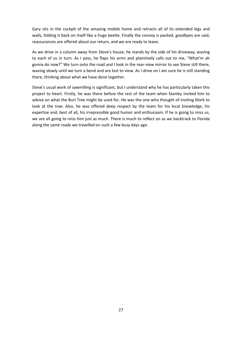Gary sits in the cockpit of the amazing mobile home and retracts all of its extended legs and walls, folding it back on itself like a huge beetle. Finally the convoy is packed, goodbyes are said, reassurances are offered about our return, and we are ready to leave.

As we drive in a column away from Steve's house, he stands by the side of his driveway, waving to each of us in turn. As I pass, he flaps his arms and plaintively calls out to me, "What'm ah gonna do now?" We turn onto the road and I look in the rear-view mirror to see Steve still there, waving slowly until we turn a bend and are lost to view. As I drive on I am sure he is still standing there, thinking about what we have done together.

Steve's usual work of sawmilling is significant, but I understand why he has particularly taken this project to heart. Firstly, he was there before the rest of the team when Stanley invited him to advise on what the Burl Tree might be used for. He was the one who thought of inviting Mark to look at the tree. Also, he was offered deep respect by the team for his local knowledge, his expertise and, best of all, his irrepressible good humor and enthusiasm. If he is going to miss us, we are all going to miss him just as much. There is much to reflect on as we backtrack to Florida along the same roads we travelled on such a few busy days ago.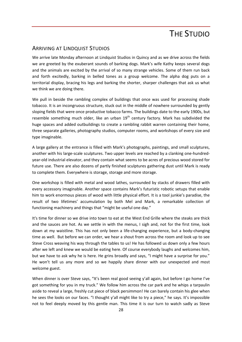### THE STUDIO

### <span id="page-29-1"></span><span id="page-29-0"></span>ARRIVING AT LINDQUIST STUDIOS

We arrive late Monday afternoon at Lindquist Studios in Quincy and as we drive across the fields we are greeted by the exuberant sounds of barking dogs. Mark's wife Kathy keeps several dogs and the animals are excited by the arrival of so many strange vehicles. Some of them run back and forth excitedly, barking in belled tones as a group welcome. The alpha dog puts on a territorial display, bracing his legs and barking the shorter, sharper challenges that ask us what we think we are doing there.

We pull in beside the rambling complex of buildings that once was used for processing shade tobacco. It is an incongruous structure, stuck out in the middle of nowhere surrounded by gently sloping fields that were once productive tobacco farms. The buildings date to the early 1900s, but resemble something much older, like an urban  $19<sup>th</sup>$  century factory. Mark has subdivided the huge spaces and added outbuildings to create a rambling rabbit warren containing their home, three separate galleries, photography studios, computer rooms, and workshops of every size and type imaginable.

A large gallery at the entrance is filled with Mark's photographs, paintings, and small sculptures, another with his large-scale sculptures. Two upper levels are reached by a clanking one-hundredyear-old industrial elevator, and they contain what seems to be acres of precious wood stored for future use. There are also dozens of partly finished sculptures gathering dust until Mark is ready to complete them. Everywhere is storage, storage and more storage.

One workshop is filled with metal and wood lathes, surrounded by stacks of drawers filled with every accessory imaginable. Another space contains Mark's futuristic robotic setups that enable him to work enormous pieces of wood with little physical effort. It is a tool junkie's paradise, the result of two lifetimes' accumulation by both Mel and Mark, a remarkable collection of functioning machinery and things that "might be useful one day."

It's time for dinner so we drive into town to eat at the West End Grille where the steaks are thick and the sauces are hot. As we settle in with the menus, I sigh and, not for the first time, look down at my waistline. This has not only been a life-changing experience, but a body-changing time as well. But before we can order, we hear a shout from across the room and look up to see Steve Cross weaving his way through the tables to us! He has followed us down only a few hours after we left and knew we would be eating here. Of course everybody laughs and welcomes him, but we have to ask why he is here. He grins broadly and says, "I might have a surprise for you." He won't tell us any more and so we happily share dinner with our unexpected and most welcome guest.

When dinner is over Steve says, "It's been real good seeing y'all again, but before I go home I've got something for you in my truck." We follow him across the car park and he whips a tarpaulin aside to reveal a large, freshly cut piece of black persimmon! He can barely contain his glee when he sees the looks on our faces. "I thought y'all might like to try a piece," he says. It's impossible not to feel deeply moved by this gentle man. This time it is our turn to watch sadly as Steve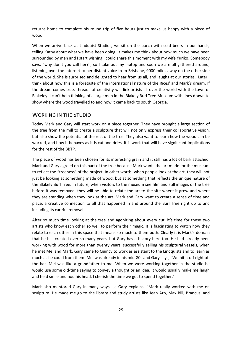returns home to complete his round trip of five hours just to make us happy with a piece of wood.

When we arrive back at Lindquist Studios, we sit on the porch with cold beers in our hands, telling Kathy about what we have been doing. It makes me think about how much we have been surrounded by men and I start wishing I could share this moment with my wife Yuriko. Somebody says, "why don't you call her?", so I take out my laptop and soon we are all gathered around, listening over the Internet to her distant voice from Brisbane, 9000 miles away on the other side of the world. She is surprised and delighted to hear from us all, and laughs at our stories. Later I think about how this is a foretaste of the international nature of the Rices' and Mark's dream. If the dream comes true, threads of creativity will link artists all over the world with the town of Blakeley. I can't help thinking of a large map in the Blakely Burl Tree Museum with lines drawn to show where the wood travelled to and how it came back to south Georgia.

### <span id="page-30-0"></span>WORKING IN THE STUDIO

Today Mark and Gary will start work on a piece together. They have brought a large section of the tree from the mill to create a sculpture that will not only express their collaborative vision, but also show the potential of the rest of the tree. They also want to learn how the wood can be worked, and how it behaves as it is cut and dries. It is work that will have significant implications for the rest of the BBTP.

The piece of wood has been chosen for its interesting grain and it still has a lot of bark attached. Mark and Gary agreed on this part of the tree because Mark wants the art made for the museum to reflect the "treeness" of the project. In other words, when people look at the art, they will not just be looking at something made of wood, but at something that reflects the unique nature of the Blakely Burl Tree. In future, when visitors to the museum see film and still images of the tree before it was removed, they will be able to relate the art to the site where it grew and where they are standing when they look at the art. Mark and Gary want to create a sense of time and place, a creative connection to all that happened in and around the Burl Tree right up to and including its careful removal.

After so much time looking at the tree and agonizing about every cut, it's time for these two artists who know each other so well to perform their magic. It is fascinating to watch how they relate to each other in this space that means so much to them both. Clearly it is Mark's domain that he has created over so many years, but Gary has a history here too. He had already been working with wood for more than twenty years, successfully selling his sculptural vessels, when he met Mel and Mark. Gary came to Quincy to work as assistant to the Lindquists and to learn as much as he could from them. Mel was already in his mid-80s and Gary says, "We hit it off right off the bat. Mel was like a grandfather to me. When we were working together in the studio he would use some old-time saying to convey a thought or an idea. It would usually make me laugh and he'd smile and nod his head. I cherish the time we got to spend together."

Mark also mentored Gary in many ways, as Gary explains: "Mark really worked with me on sculpture. He made me go to the library and study artists like Jean Arp, Max Bill, Brancusi and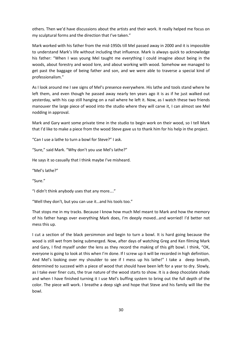others. Then we'd have discussions about the artists and their work. It really helped me focus on my sculptural forms and the direction that I've taken."

Mark worked with his father from the mid-1950s till Mel passed away in 2000 and it is impossible to understand Mark's life without including that influence. Mark is always quick to acknowledge his father: "When I was young Mel taught me everything I could imagine about being in the woods, about forestry and wood lore, and about working with wood. Somehow we managed to get past the baggage of being father and son, and we were able to traverse a special kind of professionalism."

As I look around me I see signs of Mel's presence everywhere. His lathe and tools stand where he left them, and even though he passed away nearly ten years ago it is as if he just walked out yesterday, with his cap still hanging on a nail where he left it. Now, as I watch these two friends manouver the large piece of wood into the studio where they will carve it, I can almost see Mel nodding in approval.

Mark and Gary want some private time in the studio to begin work on their wood, so I tell Mark that I'd like to make a piece from the wood Steve gave us to thank him for his help in the project.

"Can I use a lathe to turn a bowl for Steve?" I ask.

"Sure," said Mark. "Why don't you use Mel's lathe?"

He says it so casually that I think maybe I've misheard.

"Mel's lathe?"

"Sure."

"I didn't think anybody uses that any more…."

"Well they don't, but you can use it…and his tools too."

That stops me in my tracks. Because I know how much Mel meant to Mark and how the memory of his father hangs over everything Mark does, I'm deeply moved…and worried! I'd better not mess this up.

I cut a section of the black persimmon and begin to turn a bowl. It is hard going because the wood is still wet from being submerged. Now, after days of watching Greg and Ken filming Mark and Gary, I find myself under the lens as they record the making of this gift bowl. I think, "OK, everyone is going to look at this when I'm done. If I screw up it will be recorded in high definition. And Mel's looking over my shoulder to see if I mess up his lathe!" I take a deep breath, determined to succeed with a piece of wood that should have been left for a year to dry. Slowly, as I take ever finer cuts, the true nature of the wood starts to show. It is a deep chocolate shade and when I have finished turning it I use Mel's buffing system to bring out the full depth of the color. The piece will work. I breathe a deep sigh and hope that Steve and his family will like the bowl.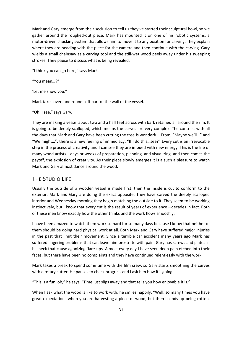Mark and Gary emerge from their seclusion to tell us they've started their sculptural bowl, so we gather around the roughed-out piece. Mark has mounted it on one of his robotic systems, a motor-driven chucking system that allows him to move it to any position for carving. They explain where they are heading with the piece for the camera and then continue with the carving. Gary wields a small chainsaw as a carving tool and the still-wet wood peels away under his sweeping strokes. They pause to discuss what is being revealed.

"I think you can go here," says Mark.

"You mean…?"

'Let me show you."

Mark takes over, and rounds off part of the wall of the vessel.

"Oh, I see," says Gary.

They are making a vessel about two and a half feet across with bark retained all around the rim. It is going to be deeply scalloped, which means the curves are very complex. The contrast with all the days that Mark and Gary have been cutting the tree is wonderful. From, "Maybe we'll…" and "We might…", there is a new feeling of immediacy: "If I do this…see?" Every cut is an irrevocable step in the process of creativity and I can see they are imbued with new energy. This is the life of many wood artists—days or weeks of preparation, planning, and visualizing, and then comes the payoff, the explosion of creativity. As their piece slowly emerges it is a such a pleasure to watch Mark and Gary almost dance around the wood.

### <span id="page-32-0"></span>THE STUDIO LIFE

Usually the outside of a wooden vessel is made first, then the inside is cut to conform to the exterior. Mark and Gary are doing the exact opposite. They have carved the deeply scalloped interior and Wednesday morning they begin matching the outside to it. They seem to be working instinctively, but I know that every cut is the result of years of experience—decades in fact. Both of these men know exactly how the other thinks and the work flows smoothly.

I have been amazed to watch them work so hard for so many days because I know that neither of them should be doing hard physical work at all. Both Mark and Gary have suffered major injuries in the past that limit their movement. Since a terrible car accident many years ago Mark has suffered lingering problems that can leave him prostrate with pain. Gary has screws and plates in his neck that cause agonizing flare-ups. Almost every day I have seen deep pain etched into their faces, but there have been no complaints and they have continued relentlessly with the work.

Mark takes a break to spend some time with the film crew, so Gary starts smoothing the curves with a rotary cutter. He pauses to check progress and I ask him how it's going.

"This is a fun job," he says, "Time just slips away and that tells you how enjoyable it is."

When I ask what the wood is like to work with, he smiles happily. "Well, so many times you have great expectations when you are harvesting a piece of wood, but then it ends up being rotten.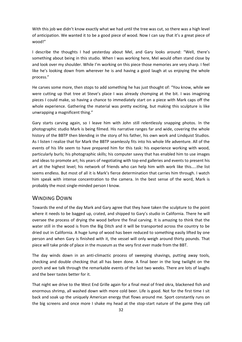With this job we didn't know exactly what we had until the tree was cut, so there was a high level of anticipation. We wanted it to be a good piece of wood. Now I can say that it's a great piece of wood!"

I describe the thoughts I had yesterday about Mel, and Gary looks around: "Well, there's something about being in this studio. When I was working here, Mel would often stand close by and look over my shoulder. While I'm working on this piece those memories are very sharp. I feel like he's looking down from wherever he is and having a good laugh at us enjoying the whole process."

He carves some more, then stops to add something he has just thought of: "You know, while we were cutting up that tree at Steve's place I was already chomping at the bit. I was imagining pieces I could make, so having a chance to immediately start on a piece with Mark caps off the whole experience. Gathering the material was pretty exciting, but making this sculpture is like unwrapping a magnificent thing."

Gary starts carving again, so I leave him with John still relentlessly snapping photos. In the photographic studio Mark is being filmed. His narrative ranges far and wide, covering the whole history of the BBTP then blending in the story of his father, his own work and Lindquist Studios. As I listen I realize that for Mark the BBTP seamlessly fits into his whole life adventure. All of the events of his life seem to have prepared him for this task: his experience working with wood, particularly burls; his photographic skills; his computer savvy that has enabled him to use images and ideas to promote art; his years of negotiating with top-end galleries and events to present his art at the highest level; his network of friends who can help him with work like this…..the list seems endless. But most of all it is Mark's fierce determination that carries him through. I watch him speak with intense concentration to the camera. In the best sense of the word, Mark is probably the most single-minded person I know.

### <span id="page-33-0"></span>WINDING DOWN

Towards the end of the day Mark and Gary agree that they have taken the sculpture to the point where it needs to be bagged up, crated, and shipped to Gary's studio in California. There he will oversee the process of drying the wood before the final carving. It is amazing to think that the water still in the wood is from the Big Ditch and it will be transported across the country to be dried out in California. A huge lump of wood has been reduced to something easily lifted by one person and when Gary is finished with it, the vessel will only weigh around thirty pounds. That piece will take pride of place in the museum as the very first ever made from the BBT.

The day winds down in an anti-climactic process of sweeping shavings, putting away tools, checking and double checking that all has been done. A final beer in the long twilight on the porch and we talk through the remarkable events of the last two weeks. There are lots of laughs and the beer tastes better for it.

That night we drive to the West End Grille again for a final meal of fried okra, blackened fish and enormous shrimp, all washed down with more cold beer. Life is good. Not for the first time I sit back and soak up the uniquely American energy that flows around me. Sport constantly runs on the big screens and once more I shake my head at the stop-start nature of the game they call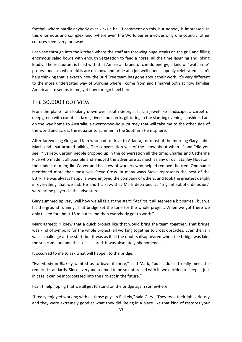football where hardly anybody ever kicks a ball. I comment on this, but nobody is impressed. In this enormous and complex land, where even the World Series involves only one country, other cultures seem very far away.

I can see through into the kitchen where the staff are throwing huge steaks on the grill and filling enormous salad bowls with enough vegetation to feed a horse, all the time laughing and joking loudly. The restaurant is filled with that American brand of can-do energy, a kind of "watch-me" professionalism where skills are on show and pride at a job well done is openly celebrated. I can't help thinking that is exactly how the Burl Tree team has gone about their work. It's very different to the more understated way of working where I come from and I marvel both at how familiar American life seems to me, yet how foreign I feel here.

### <span id="page-34-0"></span>THE 30,000 FOOT VIEW

From the plane I am looking down over south Georgia. It is a jewel-like landscape, a carpet of deep green with countless lakes, rivers and creeks glittering in the slanting evening sunshine. I am on the way home to Australia, a twenty-two-hour journey that will take me to the other side of the world and across the equator to summer in the Southern Hemisphere.

After farewelling Greg and Ken who had to drive to Atlanta, for most of the morning Gary, John, Mark, and I sat around talking. The conversation was of the "how about when..." and "did you see…" variety. Certain people cropped up in the conversation all the time: Charles and Catherine Rice who made it all possible and enjoyed the adventure as much as any of us; Stanley Houston, the kindest of men; Jim Carver and his crew of workers who helped remove the tree. One name mentioned more than most was Steve Cross. In many ways Steve represents the best of the BBTP. He was always happy, always enjoyed the company of others, and took the greatest delight in everything that we did. He and his saw, that Mark described as "a giant robotic dinosaur," were prime players in the adventure.

Gary summed up very well how we all felt at the start: "At first it all seemed a bit surreal, but we hit the ground running. That bridge set the tone for the whole project. When we got there we only talked for about 15 minutes and then everybody got to work."

Mark agreed: "I knew that a quick project like that would bring the team together. That bridge was kind of symbolic for the whole project, all working together to cross obstacles. Even the rain was a challenge at the start, but it was as if all the doubts disappeared when the bridge was laid, the sun came out and the skies cleared. It was absolutely phenomenal."

It occurred to me to ask what will happen to the bridge.

"Everybody in Blakely wanted us to leave it there," said Mark, "but it doesn't really meet the required standards. Since everyone seemed to be so enthralled with it, we decided to keep it, just in case it can be incorporated into the Project in the future."

I can't help hoping that we all get to stand on the bridge again somewhere.

"I really enjoyed working with all those guys in Blakely," said Gary. "They took their job seriously and they were extremely good at what they did. Being in a place like that kind of restores your